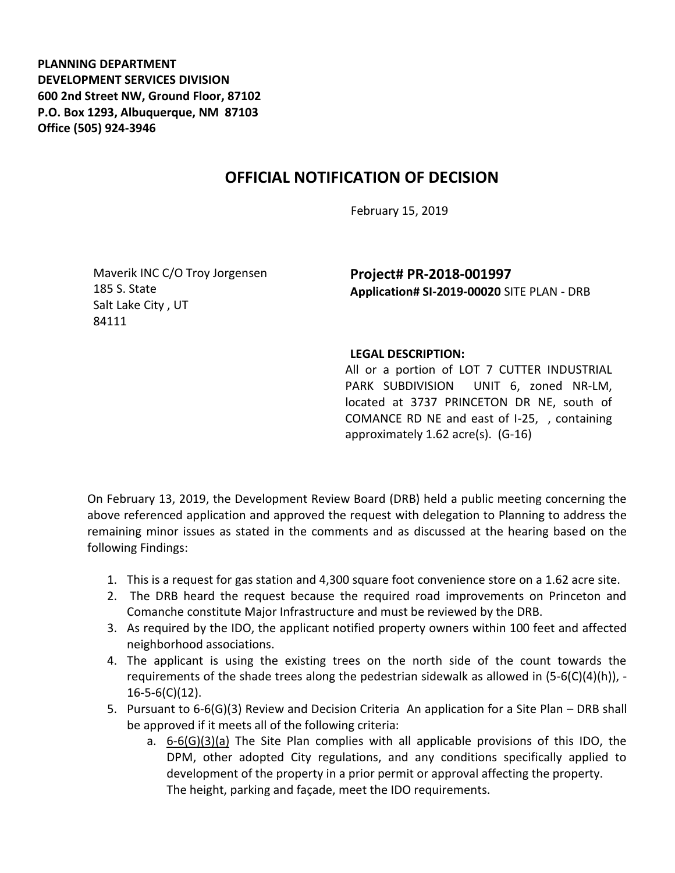**PLANNING DEPARTMENT DEVELOPMENT SERVICES DIVISION 600 2nd Street NW, Ground Floor, 87102 P.O. Box 1293, Albuquerque, NM 87103 Office (505) 924-3946** 

## **OFFICIAL NOTIFICATION OF DECISION**

February 15, 2019

Maverik INC C/O Troy Jorgensen 185 S. State Salt Lake City , UT 84111

**Project# PR-2018-001997 Application# SI-2019-00020** SITE PLAN - DRB

## **LEGAL DESCRIPTION:**

All or a portion of LOT 7 CUTTER INDUSTRIAL PARK SUBDIVISION UNIT 6, zoned NR-LM, located at 3737 PRINCETON DR NE, south of COMANCE RD NE and east of I-25, , containing approximately 1.62 acre(s). (G-16)

On February 13, 2019, the Development Review Board (DRB) held a public meeting concerning the above referenced application and approved the request with delegation to Planning to address the remaining minor issues as stated in the comments and as discussed at the hearing based on the following Findings:

- 1. This is a request for gas station and 4,300 square foot convenience store on a 1.62 acre site.
- 2. The DRB heard the request because the required road improvements on Princeton and Comanche constitute Major Infrastructure and must be reviewed by the DRB.
- 3. As required by the IDO, the applicant notified property owners within 100 feet and affected neighborhood associations.
- 4. The applicant is using the existing trees on the north side of the count towards the requirements of the shade trees along the pedestrian sidewalk as allowed in  $(5-6(C)(4)(h))$ , -16-5-6(C)(12).
- 5. Pursuant to 6-6(G)(3) Review and Decision Criteria An application for a Site Plan DRB shall be approved if it meets all of the following criteria:
	- a. 6-6(G)(3)(a) The Site Plan complies with all applicable provisions of this IDO, the DPM, other adopted City regulations, and any conditions specifically applied to development of the property in a prior permit or approval affecting the property. The height, parking and façade, meet the IDO requirements.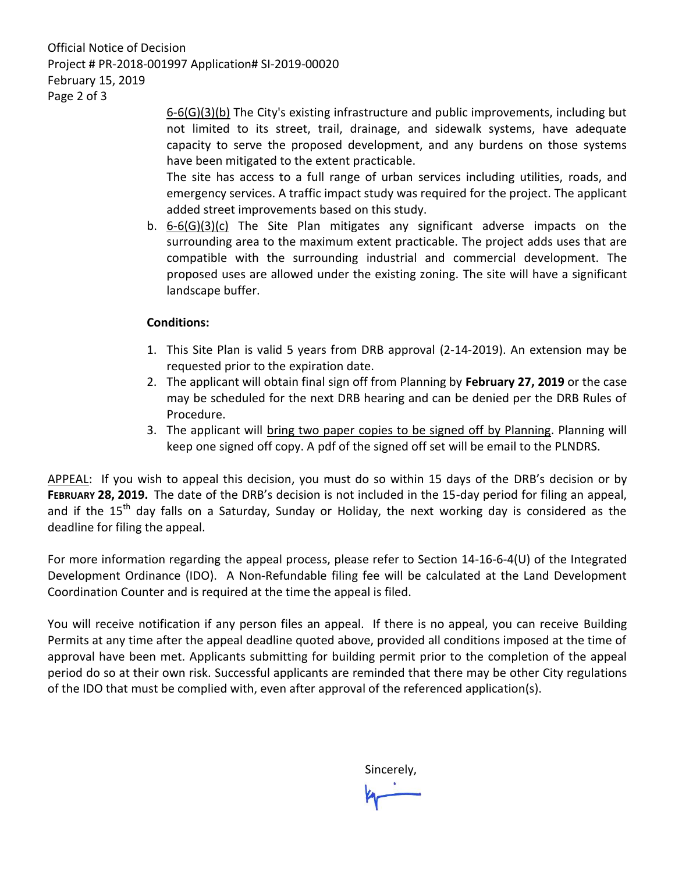Official Notice of Decision Project # PR-2018-001997 Application# SI-2019-00020 February 15, 2019 Page 2 of 3

> 6-6(G)(3)(b) The City's existing infrastructure and public improvements, including but not limited to its street, trail, drainage, and sidewalk systems, have adequate capacity to serve the proposed development, and any burdens on those systems have been mitigated to the extent practicable.

> The site has access to a full range of urban services including utilities, roads, and emergency services. A traffic impact study was required for the project. The applicant added street improvements based on this study.

b. 6-6(G)(3)(c) The Site Plan mitigates any significant adverse impacts on the surrounding area to the maximum extent practicable. The project adds uses that are compatible with the surrounding industrial and commercial development. The proposed uses are allowed under the existing zoning. The site will have a significant landscape buffer.

## **Conditions:**

- 1. This Site Plan is valid 5 years from DRB approval (2-14-2019). An extension may be requested prior to the expiration date.
- 2. The applicant will obtain final sign off from Planning by **February 27, 2019** or the case may be scheduled for the next DRB hearing and can be denied per the DRB Rules of Procedure.
- 3. The applicant will bring two paper copies to be signed off by Planning. Planning will keep one signed off copy. A pdf of the signed off set will be email to the PLNDRS.

APPEAL: If you wish to appeal this decision, you must do so within 15 days of the DRB's decision or by **FEBRUARY 28, 2019.** The date of the DRB's decision is not included in the 15-day period for filing an appeal, and if the 15<sup>th</sup> day falls on a Saturday, Sunday or Holiday, the next working day is considered as the deadline for filing the appeal.

For more information regarding the appeal process, please refer to Section 14-16-6-4(U) of the Integrated Development Ordinance (IDO). A Non-Refundable filing fee will be calculated at the Land Development Coordination Counter and is required at the time the appeal is filed.

You will receive notification if any person files an appeal. If there is no appeal, you can receive Building Permits at any time after the appeal deadline quoted above, provided all conditions imposed at the time of approval have been met. Applicants submitting for building permit prior to the completion of the appeal period do so at their own risk. Successful applicants are reminded that there may be other City regulations of the IDO that must be complied with, even after approval of the referenced application(s).

Sincerely,